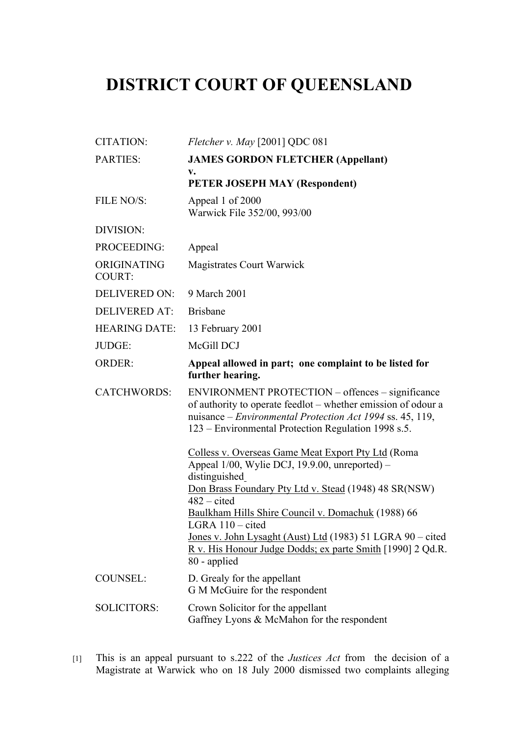## **DISTRICT COURT OF QUEENSLAND**

| <b>CITATION:</b>             | Fletcher v. May $[2001]$ QDC 081                                                                                                                                                                                                                                                                                                                                                                                             |
|------------------------------|------------------------------------------------------------------------------------------------------------------------------------------------------------------------------------------------------------------------------------------------------------------------------------------------------------------------------------------------------------------------------------------------------------------------------|
| <b>PARTIES:</b>              | <b>JAMES GORDON FLETCHER (Appellant)</b>                                                                                                                                                                                                                                                                                                                                                                                     |
|                              | v.<br>PETER JOSEPH MAY (Respondent)                                                                                                                                                                                                                                                                                                                                                                                          |
| FILE NO/S:                   | Appeal 1 of 2000<br>Warwick File 352/00, 993/00                                                                                                                                                                                                                                                                                                                                                                              |
| DIVISION:                    |                                                                                                                                                                                                                                                                                                                                                                                                                              |
| PROCEEDING:                  | Appeal                                                                                                                                                                                                                                                                                                                                                                                                                       |
| ORIGINATING<br><b>COURT:</b> | <b>Magistrates Court Warwick</b>                                                                                                                                                                                                                                                                                                                                                                                             |
| <b>DELIVERED ON:</b>         | 9 March 2001                                                                                                                                                                                                                                                                                                                                                                                                                 |
| <b>DELIVERED AT:</b>         | <b>Brisbane</b>                                                                                                                                                                                                                                                                                                                                                                                                              |
| <b>HEARING DATE:</b>         | 13 February 2001                                                                                                                                                                                                                                                                                                                                                                                                             |
| JUDGE:                       | McGill DCJ                                                                                                                                                                                                                                                                                                                                                                                                                   |
| <b>ORDER:</b>                | Appeal allowed in part; one complaint to be listed for<br>further hearing.                                                                                                                                                                                                                                                                                                                                                   |
| <b>CATCHWORDS:</b>           | ENVIRONMENT PROTECTION – offences – significance<br>of authority to operate feedlot – whether emission of odour a<br>nuisance – Environmental Protection Act 1994 ss. 45, 119,<br>123 – Environmental Protection Regulation 1998 s.5.                                                                                                                                                                                        |
|                              | Colless v. Overseas Game Meat Export Pty Ltd (Roma<br>Appeal 1/00, Wylie DCJ, 19.9.00, unreported) –<br>distinguished<br>Don Brass Foundary Pty Ltd v. Stead (1948) 48 SR(NSW)<br>$482 - cited$<br>Baulkham Hills Shire Council v. Domachuk (1988) 66<br>LGRA 110 - cited<br><u>Jones v. John Lysaght (Aust) Ltd</u> (1983) 51 LGRA 90 – cited<br>R v. His Honour Judge Dodds; ex parte Smith [1990] 2 Qd.R.<br>80 - applied |
| <b>COUNSEL:</b>              | D. Grealy for the appellant<br>G M McGuire for the respondent                                                                                                                                                                                                                                                                                                                                                                |
| <b>SOLICITORS:</b>           | Crown Solicitor for the appellant<br>Gaffney Lyons & McMahon for the respondent                                                                                                                                                                                                                                                                                                                                              |

<sup>[1]</sup> This is an appeal pursuant to s.222 of the *Justices Act* from the decision of a Magistrate at Warwick who on 18 July 2000 dismissed two complaints alleging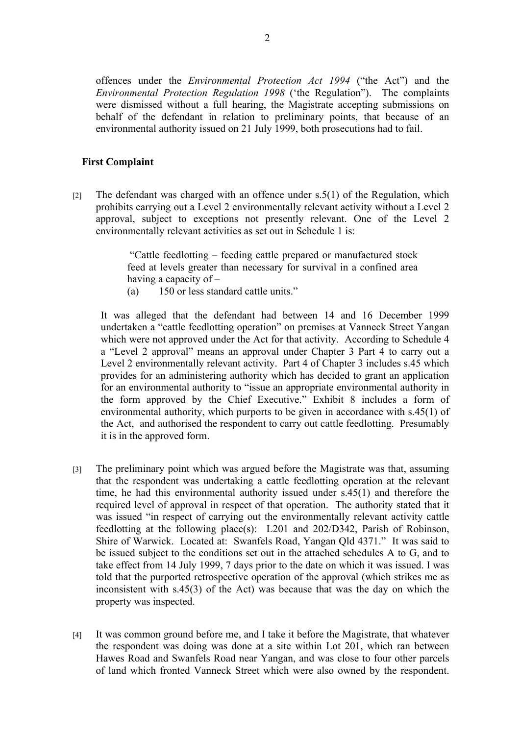offences under the *Environmental Protection Act 1994* ("the Act") and the *Environmental Protection Regulation 1998* ('the Regulation"). The complaints were dismissed without a full hearing, the Magistrate accepting submissions on behalf of the defendant in relation to preliminary points, that because of an environmental authority issued on 21 July 1999, both prosecutions had to fail.

## **First Complaint**

[2] The defendant was charged with an offence under s.5(1) of the Regulation, which prohibits carrying out a Level 2 environmentally relevant activity without a Level 2 approval, subject to exceptions not presently relevant. One of the Level 2 environmentally relevant activities as set out in Schedule 1 is:

> "Cattle feedlotting – feeding cattle prepared or manufactured stock feed at levels greater than necessary for survival in a confined area having a capacity of –

(a) 150 or less standard cattle units."

It was alleged that the defendant had between 14 and 16 December 1999 undertaken a "cattle feedlotting operation" on premises at Vanneck Street Yangan which were not approved under the Act for that activity. According to Schedule 4 a "Level 2 approval" means an approval under Chapter 3 Part 4 to carry out a Level 2 environmentally relevant activity. Part 4 of Chapter 3 includes s.45 which provides for an administering authority which has decided to grant an application for an environmental authority to "issue an appropriate environmental authority in the form approved by the Chief Executive." Exhibit 8 includes a form of environmental authority, which purports to be given in accordance with s.45(1) of the Act, and authorised the respondent to carry out cattle feedlotting. Presumably it is in the approved form.

- [3] The preliminary point which was argued before the Magistrate was that, assuming that the respondent was undertaking a cattle feedlotting operation at the relevant time, he had this environmental authority issued under s.45(1) and therefore the required level of approval in respect of that operation. The authority stated that it was issued "in respect of carrying out the environmentally relevant activity cattle feedlotting at the following place(s): L201 and 202/D342, Parish of Robinson, Shire of Warwick. Located at: Swanfels Road, Yangan Qld 4371." It was said to be issued subject to the conditions set out in the attached schedules A to G, and to take effect from 14 July 1999, 7 days prior to the date on which it was issued. I was told that the purported retrospective operation of the approval (which strikes me as inconsistent with s.45(3) of the Act) was because that was the day on which the property was inspected.
- [4] It was common ground before me, and I take it before the Magistrate, that whatever the respondent was doing was done at a site within Lot 201, which ran between Hawes Road and Swanfels Road near Yangan, and was close to four other parcels of land which fronted Vanneck Street which were also owned by the respondent.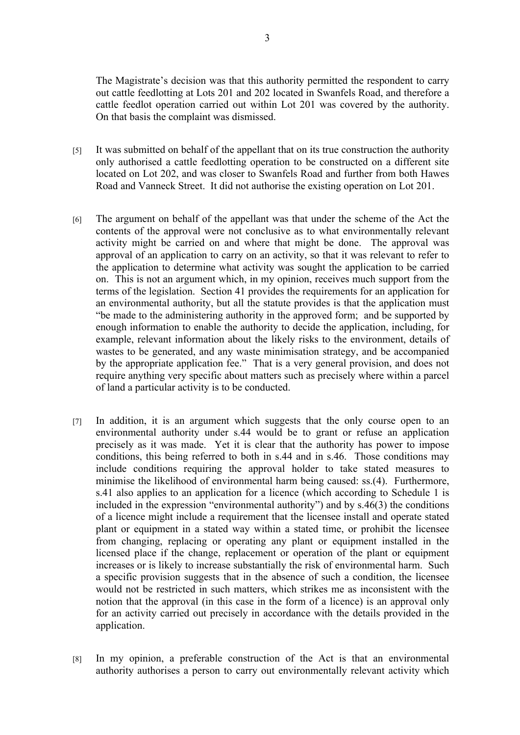The Magistrate's decision was that this authority permitted the respondent to carry out cattle feedlotting at Lots 201 and 202 located in Swanfels Road, and therefore a cattle feedlot operation carried out within Lot 201 was covered by the authority. On that basis the complaint was dismissed.

- [5] It was submitted on behalf of the appellant that on its true construction the authority only authorised a cattle feedlotting operation to be constructed on a different site located on Lot 202, and was closer to Swanfels Road and further from both Hawes Road and Vanneck Street. It did not authorise the existing operation on Lot 201.
- [6] The argument on behalf of the appellant was that under the scheme of the Act the contents of the approval were not conclusive as to what environmentally relevant activity might be carried on and where that might be done. The approval was approval of an application to carry on an activity, so that it was relevant to refer to the application to determine what activity was sought the application to be carried on. This is not an argument which, in my opinion, receives much support from the terms of the legislation. Section 41 provides the requirements for an application for an environmental authority, but all the statute provides is that the application must "be made to the administering authority in the approved form; and be supported by enough information to enable the authority to decide the application, including, for example, relevant information about the likely risks to the environment, details of wastes to be generated, and any waste minimisation strategy, and be accompanied by the appropriate application fee." That is a very general provision, and does not require anything very specific about matters such as precisely where within a parcel of land a particular activity is to be conducted.
- [7] In addition, it is an argument which suggests that the only course open to an environmental authority under s.44 would be to grant or refuse an application precisely as it was made. Yet it is clear that the authority has power to impose conditions, this being referred to both in s.44 and in s.46. Those conditions may include conditions requiring the approval holder to take stated measures to minimise the likelihood of environmental harm being caused: ss.(4). Furthermore, s.41 also applies to an application for a licence (which according to Schedule 1 is included in the expression "environmental authority") and by s.46(3) the conditions of a licence might include a requirement that the licensee install and operate stated plant or equipment in a stated way within a stated time, or prohibit the licensee from changing, replacing or operating any plant or equipment installed in the licensed place if the change, replacement or operation of the plant or equipment increases or is likely to increase substantially the risk of environmental harm. Such a specific provision suggests that in the absence of such a condition, the licensee would not be restricted in such matters, which strikes me as inconsistent with the notion that the approval (in this case in the form of a licence) is an approval only for an activity carried out precisely in accordance with the details provided in the application.
- [8] In my opinion, a preferable construction of the Act is that an environmental authority authorises a person to carry out environmentally relevant activity which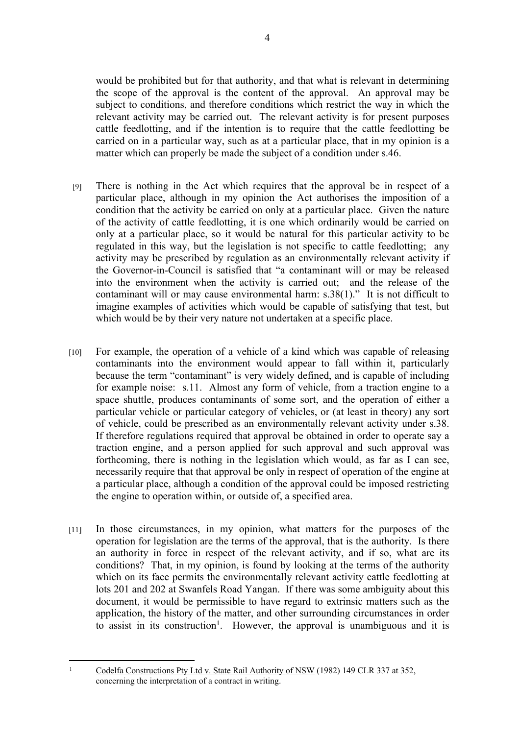would be prohibited but for that authority, and that what is relevant in determining the scope of the approval is the content of the approval. An approval may be subject to conditions, and therefore conditions which restrict the way in which the relevant activity may be carried out. The relevant activity is for present purposes cattle feedlotting, and if the intention is to require that the cattle feedlotting be carried on in a particular way, such as at a particular place, that in my opinion is a matter which can properly be made the subject of a condition under s.46.

- [9] There is nothing in the Act which requires that the approval be in respect of a particular place, although in my opinion the Act authorises the imposition of a condition that the activity be carried on only at a particular place. Given the nature of the activity of cattle feedlotting, it is one which ordinarily would be carried on only at a particular place, so it would be natural for this particular activity to be regulated in this way, but the legislation is not specific to cattle feedlotting; any activity may be prescribed by regulation as an environmentally relevant activity if the Governor-in-Council is satisfied that "a contaminant will or may be released into the environment when the activity is carried out; and the release of the contaminant will or may cause environmental harm: s.38(1)." It is not difficult to imagine examples of activities which would be capable of satisfying that test, but which would be by their very nature not undertaken at a specific place.
- [10] For example, the operation of a vehicle of a kind which was capable of releasing contaminants into the environment would appear to fall within it, particularly because the term "contaminant" is very widely defined, and is capable of including for example noise: s.11. Almost any form of vehicle, from a traction engine to a space shuttle, produces contaminants of some sort, and the operation of either a particular vehicle or particular category of vehicles, or (at least in theory) any sort of vehicle, could be prescribed as an environmentally relevant activity under s.38. If therefore regulations required that approval be obtained in order to operate say a traction engine, and a person applied for such approval and such approval was forthcoming, there is nothing in the legislation which would, as far as I can see, necessarily require that that approval be only in respect of operation of the engine at a particular place, although a condition of the approval could be imposed restricting the engine to operation within, or outside of, a specified area.
- [11] In those circumstances, in my opinion, what matters for the purposes of the operation for legislation are the terms of the approval, that is the authority. Is there an authority in force in respect of the relevant activity, and if so, what are its conditions? That, in my opinion, is found by looking at the terms of the authority which on its face permits the environmentally relevant activity cattle feedlotting at lots 201 and 202 at Swanfels Road Yangan. If there was some ambiguity about this document, it would be permissible to have regard to extrinsic matters such as the application, the history of the matter, and other surrounding circumstances in order to assist in its construction<sup>1</sup>. However, the approval is unambiguous and it is

<sup>1</sup> Codelfa Constructions Pty Ltd v. State Rail Authority of NSW (1982) 149 CLR 337 at 352, concerning the interpretation of a contract in writing.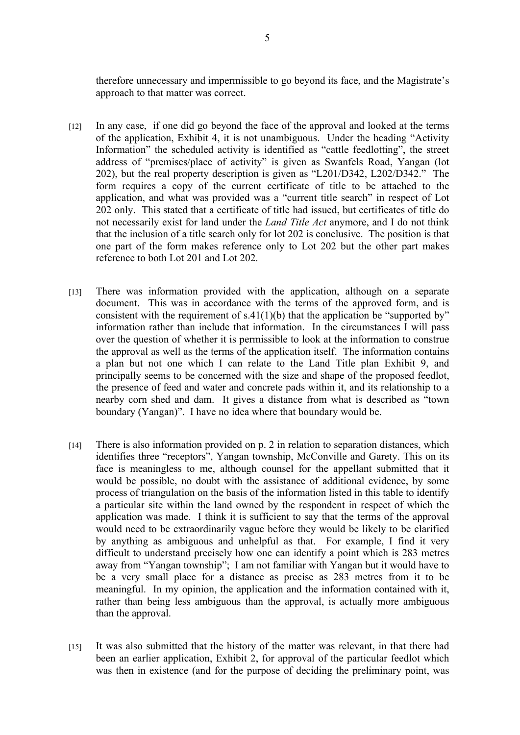therefore unnecessary and impermissible to go beyond its face, and the Magistrate's approach to that matter was correct.

- [12] In any case, if one did go beyond the face of the approval and looked at the terms of the application, Exhibit 4, it is not unambiguous. Under the heading "Activity Information" the scheduled activity is identified as "cattle feedlotting", the street address of "premises/place of activity" is given as Swanfels Road, Yangan (lot 202), but the real property description is given as "L201/D342, L202/D342." The form requires a copy of the current certificate of title to be attached to the application, and what was provided was a "current title search" in respect of Lot 202 only. This stated that a certificate of title had issued, but certificates of title do not necessarily exist for land under the *Land Title Act* anymore, and I do not think that the inclusion of a title search only for lot 202 is conclusive. The position is that one part of the form makes reference only to Lot 202 but the other part makes reference to both Lot 201 and Lot 202.
- [13] There was information provided with the application, although on a separate document. This was in accordance with the terms of the approved form, and is consistent with the requirement of  $s.41(1)(b)$  that the application be "supported by" information rather than include that information. In the circumstances I will pass over the question of whether it is permissible to look at the information to construe the approval as well as the terms of the application itself. The information contains a plan but not one which I can relate to the Land Title plan Exhibit 9, and principally seems to be concerned with the size and shape of the proposed feedlot, the presence of feed and water and concrete pads within it, and its relationship to a nearby corn shed and dam. It gives a distance from what is described as "town boundary (Yangan)". I have no idea where that boundary would be.
- [14] There is also information provided on p. 2 in relation to separation distances, which identifies three "receptors", Yangan township, McConville and Garety. This on its face is meaningless to me, although counsel for the appellant submitted that it would be possible, no doubt with the assistance of additional evidence, by some process of triangulation on the basis of the information listed in this table to identify a particular site within the land owned by the respondent in respect of which the application was made. I think it is sufficient to say that the terms of the approval would need to be extraordinarily vague before they would be likely to be clarified by anything as ambiguous and unhelpful as that. For example, I find it very difficult to understand precisely how one can identify a point which is 283 metres away from "Yangan township"; I am not familiar with Yangan but it would have to be a very small place for a distance as precise as 283 metres from it to be meaningful. In my opinion, the application and the information contained with it, rather than being less ambiguous than the approval, is actually more ambiguous than the approval.
- [15] It was also submitted that the history of the matter was relevant, in that there had been an earlier application, Exhibit 2, for approval of the particular feedlot which was then in existence (and for the purpose of deciding the preliminary point, was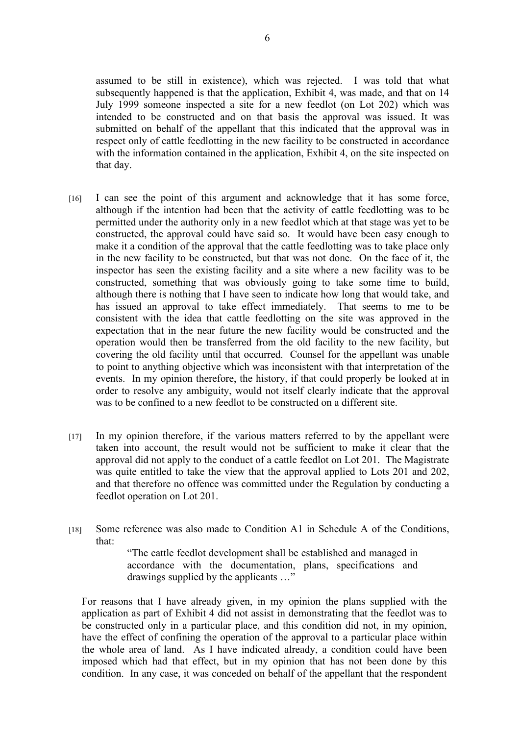assumed to be still in existence), which was rejected. I was told that what subsequently happened is that the application, Exhibit 4, was made, and that on 14 July 1999 someone inspected a site for a new feedlot (on Lot 202) which was intended to be constructed and on that basis the approval was issued. It was submitted on behalf of the appellant that this indicated that the approval was in respect only of cattle feedlotting in the new facility to be constructed in accordance with the information contained in the application, Exhibit 4, on the site inspected on that day.

- [16] I can see the point of this argument and acknowledge that it has some force, although if the intention had been that the activity of cattle feedlotting was to be permitted under the authority only in a new feedlot which at that stage was yet to be constructed, the approval could have said so. It would have been easy enough to make it a condition of the approval that the cattle feedlotting was to take place only in the new facility to be constructed, but that was not done. On the face of it, the inspector has seen the existing facility and a site where a new facility was to be constructed, something that was obviously going to take some time to build, although there is nothing that I have seen to indicate how long that would take, and has issued an approval to take effect immediately. That seems to me to be consistent with the idea that cattle feedlotting on the site was approved in the expectation that in the near future the new facility would be constructed and the operation would then be transferred from the old facility to the new facility, but covering the old facility until that occurred. Counsel for the appellant was unable to point to anything objective which was inconsistent with that interpretation of the events. In my opinion therefore, the history, if that could properly be looked at in order to resolve any ambiguity, would not itself clearly indicate that the approval was to be confined to a new feedlot to be constructed on a different site.
- [17] In my opinion therefore, if the various matters referred to by the appellant were taken into account, the result would not be sufficient to make it clear that the approval did not apply to the conduct of a cattle feedlot on Lot 201. The Magistrate was quite entitled to take the view that the approval applied to Lots 201 and 202, and that therefore no offence was committed under the Regulation by conducting a feedlot operation on Lot 201.
- [18] Some reference was also made to Condition A1 in Schedule A of the Conditions, that:

"The cattle feedlot development shall be established and managed in accordance with the documentation, plans, specifications and drawings supplied by the applicants …"

For reasons that I have already given, in my opinion the plans supplied with the application as part of Exhibit 4 did not assist in demonstrating that the feedlot was to be constructed only in a particular place, and this condition did not, in my opinion, have the effect of confining the operation of the approval to a particular place within the whole area of land. As I have indicated already, a condition could have been imposed which had that effect, but in my opinion that has not been done by this condition. In any case, it was conceded on behalf of the appellant that the respondent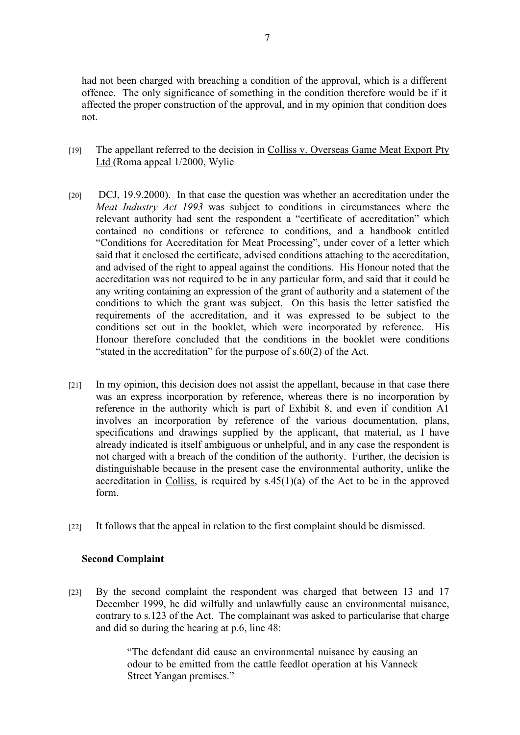had not been charged with breaching a condition of the approval, which is a different offence. The only significance of something in the condition therefore would be if it affected the proper construction of the approval, and in my opinion that condition does not.

- [19] The appellant referred to the decision in Colliss v. Overseas Game Meat Export Pty Ltd (Roma appeal 1/2000, Wylie
- [20] DCJ, 19.9.2000). In that case the question was whether an accreditation under the *Meat Industry Act 1993* was subject to conditions in circumstances where the relevant authority had sent the respondent a "certificate of accreditation" which contained no conditions or reference to conditions, and a handbook entitled "Conditions for Accreditation for Meat Processing", under cover of a letter which said that it enclosed the certificate, advised conditions attaching to the accreditation, and advised of the right to appeal against the conditions. His Honour noted that the accreditation was not required to be in any particular form, and said that it could be any writing containing an expression of the grant of authority and a statement of the conditions to which the grant was subject. On this basis the letter satisfied the requirements of the accreditation, and it was expressed to be subject to the conditions set out in the booklet, which were incorporated by reference. His Honour therefore concluded that the conditions in the booklet were conditions "stated in the accreditation" for the purpose of  $s.60(2)$  of the Act.
- [21] In my opinion, this decision does not assist the appellant, because in that case there was an express incorporation by reference, whereas there is no incorporation by reference in the authority which is part of Exhibit 8, and even if condition A1 involves an incorporation by reference of the various documentation, plans, specifications and drawings supplied by the applicant, that material, as I have already indicated is itself ambiguous or unhelpful, and in any case the respondent is not charged with a breach of the condition of the authority. Further, the decision is distinguishable because in the present case the environmental authority, unlike the accreditation in Colliss, is required by s.45(1)(a) of the Act to be in the approved form.
- [22] It follows that the appeal in relation to the first complaint should be dismissed.

## **Second Complaint**

[23] By the second complaint the respondent was charged that between 13 and 17 December 1999, he did wilfully and unlawfully cause an environmental nuisance, contrary to s.123 of the Act. The complainant was asked to particularise that charge and did so during the hearing at p.6, line 48:

> "The defendant did cause an environmental nuisance by causing an odour to be emitted from the cattle feedlot operation at his Vanneck Street Yangan premises."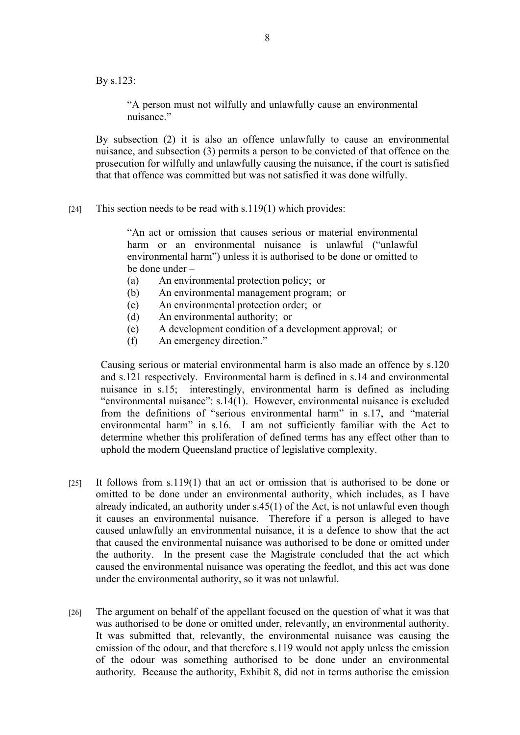By s.123:

"A person must not wilfully and unlawfully cause an environmental nuisance."

By subsection (2) it is also an offence unlawfully to cause an environmental nuisance, and subsection (3) permits a person to be convicted of that offence on the prosecution for wilfully and unlawfully causing the nuisance, if the court is satisfied that that offence was committed but was not satisfied it was done wilfully.

[24] This section needs to be read with s.119(1) which provides:

"An act or omission that causes serious or material environmental harm or an environmental nuisance is unlawful ("unlawful environmental harm") unless it is authorised to be done or omitted to be done under –

- (a) An environmental protection policy; or
- (b) An environmental management program; or
- (c) An environmental protection order; or
- (d) An environmental authority; or
- (e) A development condition of a development approval; or
- (f) An emergency direction."

Causing serious or material environmental harm is also made an offence by s.120 and s.121 respectively. Environmental harm is defined in s.14 and environmental nuisance in s.15; interestingly, environmental harm is defined as including "environmental nuisance": s.14(1). However, environmental nuisance is excluded from the definitions of "serious environmental harm" in s.17, and "material environmental harm" in s.16. I am not sufficiently familiar with the Act to determine whether this proliferation of defined terms has any effect other than to uphold the modern Queensland practice of legislative complexity.

- [25] It follows from s.119(1) that an act or omission that is authorised to be done or omitted to be done under an environmental authority, which includes, as I have already indicated, an authority under s.45(1) of the Act, is not unlawful even though it causes an environmental nuisance. Therefore if a person is alleged to have caused unlawfully an environmental nuisance, it is a defence to show that the act that caused the environmental nuisance was authorised to be done or omitted under the authority. In the present case the Magistrate concluded that the act which caused the environmental nuisance was operating the feedlot, and this act was done under the environmental authority, so it was not unlawful.
- [26] The argument on behalf of the appellant focused on the question of what it was that was authorised to be done or omitted under, relevantly, an environmental authority. It was submitted that, relevantly, the environmental nuisance was causing the emission of the odour, and that therefore s.119 would not apply unless the emission of the odour was something authorised to be done under an environmental authority. Because the authority, Exhibit 8, did not in terms authorise the emission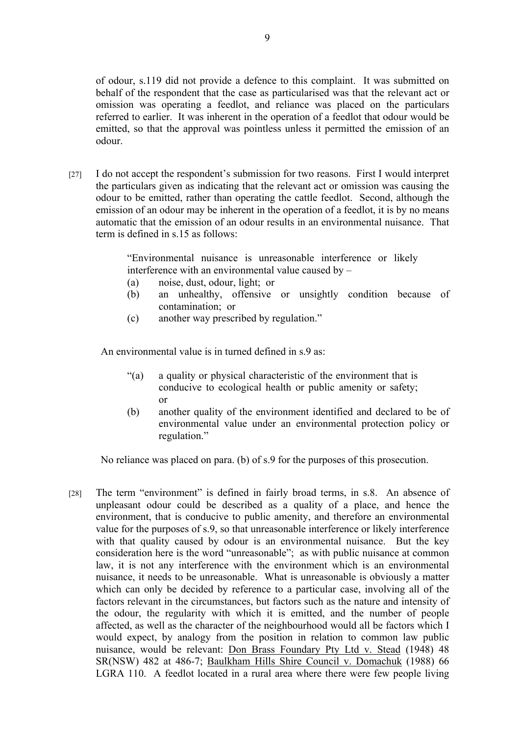of odour, s.119 did not provide a defence to this complaint. It was submitted on behalf of the respondent that the case as particularised was that the relevant act or omission was operating a feedlot, and reliance was placed on the particulars referred to earlier. It was inherent in the operation of a feedlot that odour would be emitted, so that the approval was pointless unless it permitted the emission of an odour.

[27] I do not accept the respondent's submission for two reasons. First I would interpret the particulars given as indicating that the relevant act or omission was causing the odour to be emitted, rather than operating the cattle feedlot. Second, although the emission of an odour may be inherent in the operation of a feedlot, it is by no means automatic that the emission of an odour results in an environmental nuisance. That term is defined in s.15 as follows:

> "Environmental nuisance is unreasonable interference or likely interference with an environmental value caused by –

- (a) noise, dust, odour, light; or
- (b) an unhealthy, offensive or unsightly condition because of contamination; or
- (c) another way prescribed by regulation."

An environmental value is in turned defined in  $s \theta$  as:

- "(a) a quality or physical characteristic of the environment that is conducive to ecological health or public amenity or safety; or
- (b) another quality of the environment identified and declared to be of environmental value under an environmental protection policy or regulation."

No reliance was placed on para. (b) of s.9 for the purposes of this prosecution.

[28] The term "environment" is defined in fairly broad terms, in s.8. An absence of unpleasant odour could be described as a quality of a place, and hence the environment, that is conducive to public amenity, and therefore an environmental value for the purposes of s.9, so that unreasonable interference or likely interference with that quality caused by odour is an environmental nuisance. But the key consideration here is the word "unreasonable"; as with public nuisance at common law, it is not any interference with the environment which is an environmental nuisance, it needs to be unreasonable. What is unreasonable is obviously a matter which can only be decided by reference to a particular case, involving all of the factors relevant in the circumstances, but factors such as the nature and intensity of the odour, the regularity with which it is emitted, and the number of people affected, as well as the character of the neighbourhood would all be factors which I would expect, by analogy from the position in relation to common law public nuisance, would be relevant: Don Brass Foundary Pty Ltd v. Stead (1948) 48 SR(NSW) 482 at 486-7; Baulkham Hills Shire Council v. Domachuk (1988) 66 LGRA 110. A feedlot located in a rural area where there were few people living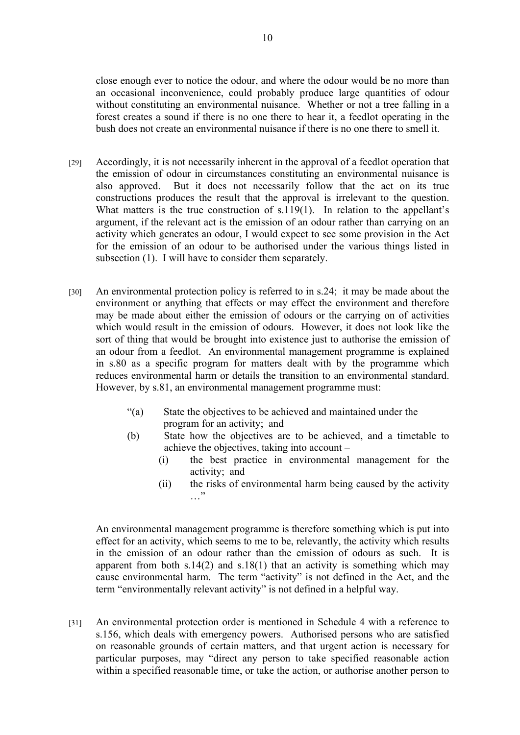close enough ever to notice the odour, and where the odour would be no more than an occasional inconvenience, could probably produce large quantities of odour without constituting an environmental nuisance. Whether or not a tree falling in a forest creates a sound if there is no one there to hear it, a feedlot operating in the bush does not create an environmental nuisance if there is no one there to smell it.

- [29] Accordingly, it is not necessarily inherent in the approval of a feedlot operation that the emission of odour in circumstances constituting an environmental nuisance is also approved. But it does not necessarily follow that the act on its true constructions produces the result that the approval is irrelevant to the question. What matters is the true construction of s.119(1). In relation to the appellant's argument, if the relevant act is the emission of an odour rather than carrying on an activity which generates an odour, I would expect to see some provision in the Act for the emission of an odour to be authorised under the various things listed in subsection (1). I will have to consider them separately.
- [30] An environmental protection policy is referred to in s.24; it may be made about the environment or anything that effects or may effect the environment and therefore may be made about either the emission of odours or the carrying on of activities which would result in the emission of odours. However, it does not look like the sort of thing that would be brought into existence just to authorise the emission of an odour from a feedlot. An environmental management programme is explained in s.80 as a specific program for matters dealt with by the programme which reduces environmental harm or details the transition to an environmental standard. However, by s.81, an environmental management programme must:
	- "(a) State the objectives to be achieved and maintained under the program for an activity; and
	- (b) State how the objectives are to be achieved, and a timetable to achieve the objectives, taking into account –
		- (i) the best practice in environmental management for the activity; and
		- (ii) the risks of environmental harm being caused by the activity …"

An environmental management programme is therefore something which is put into effect for an activity, which seems to me to be, relevantly, the activity which results in the emission of an odour rather than the emission of odours as such. It is apparent from both  $s.14(2)$  and  $s.18(1)$  that an activity is something which may cause environmental harm. The term "activity" is not defined in the Act, and the term "environmentally relevant activity" is not defined in a helpful way.

[31] An environmental protection order is mentioned in Schedule 4 with a reference to s.156, which deals with emergency powers. Authorised persons who are satisfied on reasonable grounds of certain matters, and that urgent action is necessary for particular purposes, may "direct any person to take specified reasonable action within a specified reasonable time, or take the action, or authorise another person to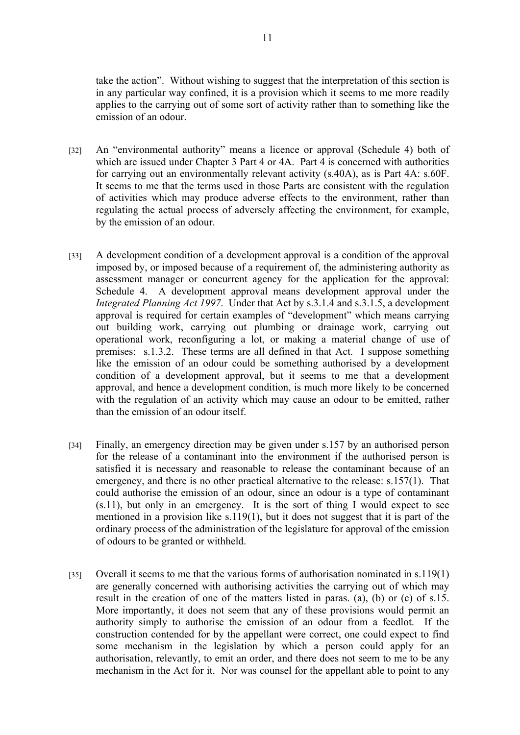take the action". Without wishing to suggest that the interpretation of this section is in any particular way confined, it is a provision which it seems to me more readily applies to the carrying out of some sort of activity rather than to something like the emission of an odour.

- [32] An "environmental authority" means a licence or approval (Schedule 4) both of which are issued under Chapter 3 Part 4 or 4A. Part 4 is concerned with authorities for carrying out an environmentally relevant activity (s.40A), as is Part 4A: s.60F. It seems to me that the terms used in those Parts are consistent with the regulation of activities which may produce adverse effects to the environment, rather than regulating the actual process of adversely affecting the environment, for example, by the emission of an odour.
- [33] A development condition of a development approval is a condition of the approval imposed by, or imposed because of a requirement of, the administering authority as assessment manager or concurrent agency for the application for the approval: Schedule 4. A development approval means development approval under the *Integrated Planning Act 1997*. Under that Act by s.3.1.4 and s.3.1.5, a development approval is required for certain examples of "development" which means carrying out building work, carrying out plumbing or drainage work, carrying out operational work, reconfiguring a lot, or making a material change of use of premises: s.1.3.2. These terms are all defined in that Act. I suppose something like the emission of an odour could be something authorised by a development condition of a development approval, but it seems to me that a development approval, and hence a development condition, is much more likely to be concerned with the regulation of an activity which may cause an odour to be emitted, rather than the emission of an odour itself.
- [34] Finally, an emergency direction may be given under s.157 by an authorised person for the release of a contaminant into the environment if the authorised person is satisfied it is necessary and reasonable to release the contaminant because of an emergency, and there is no other practical alternative to the release: s.157(1). That could authorise the emission of an odour, since an odour is a type of contaminant (s.11), but only in an emergency. It is the sort of thing I would expect to see mentioned in a provision like s.119(1), but it does not suggest that it is part of the ordinary process of the administration of the legislature for approval of the emission of odours to be granted or withheld.
- [35] Overall it seems to me that the various forms of authorisation nominated in s.119(1) are generally concerned with authorising activities the carrying out of which may result in the creation of one of the matters listed in paras. (a), (b) or (c) of s.15. More importantly, it does not seem that any of these provisions would permit an authority simply to authorise the emission of an odour from a feedlot. If the construction contended for by the appellant were correct, one could expect to find some mechanism in the legislation by which a person could apply for an authorisation, relevantly, to emit an order, and there does not seem to me to be any mechanism in the Act for it. Nor was counsel for the appellant able to point to any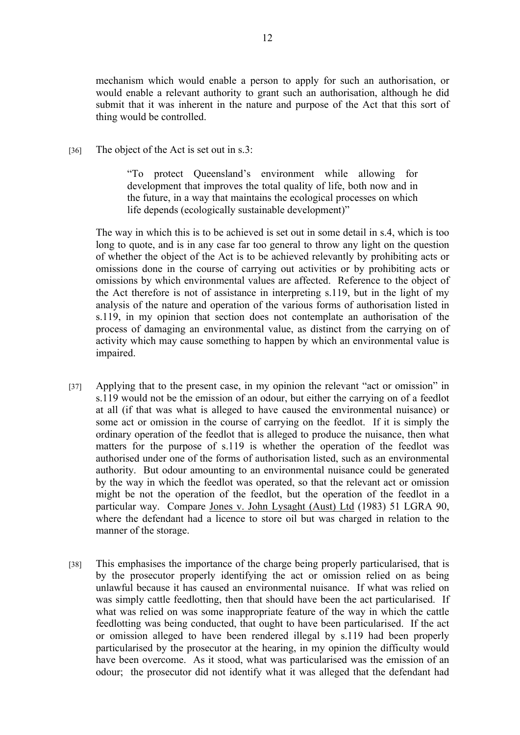mechanism which would enable a person to apply for such an authorisation, or would enable a relevant authority to grant such an authorisation, although he did submit that it was inherent in the nature and purpose of the Act that this sort of thing would be controlled.

[36] The object of the Act is set out in s.3:

"To protect Queensland's environment while allowing for development that improves the total quality of life, both now and in the future, in a way that maintains the ecological processes on which life depends (ecologically sustainable development)"

The way in which this is to be achieved is set out in some detail in s.4, which is too long to quote, and is in any case far too general to throw any light on the question of whether the object of the Act is to be achieved relevantly by prohibiting acts or omissions done in the course of carrying out activities or by prohibiting acts or omissions by which environmental values are affected. Reference to the object of the Act therefore is not of assistance in interpreting s.119, but in the light of my analysis of the nature and operation of the various forms of authorisation listed in s.119, in my opinion that section does not contemplate an authorisation of the process of damaging an environmental value, as distinct from the carrying on of activity which may cause something to happen by which an environmental value is impaired.

- [37] Applying that to the present case, in my opinion the relevant "act or omission" in s.119 would not be the emission of an odour, but either the carrying on of a feedlot at all (if that was what is alleged to have caused the environmental nuisance) or some act or omission in the course of carrying on the feedlot. If it is simply the ordinary operation of the feedlot that is alleged to produce the nuisance, then what matters for the purpose of s.119 is whether the operation of the feedlot was authorised under one of the forms of authorisation listed, such as an environmental authority. But odour amounting to an environmental nuisance could be generated by the way in which the feedlot was operated, so that the relevant act or omission might be not the operation of the feedlot, but the operation of the feedlot in a particular way. Compare Jones v. John Lysaght (Aust) Ltd (1983) 51 LGRA 90, where the defendant had a licence to store oil but was charged in relation to the manner of the storage.
- [38] This emphasises the importance of the charge being properly particularised, that is by the prosecutor properly identifying the act or omission relied on as being unlawful because it has caused an environmental nuisance. If what was relied on was simply cattle feedlotting, then that should have been the act particularised. If what was relied on was some inappropriate feature of the way in which the cattle feedlotting was being conducted, that ought to have been particularised. If the act or omission alleged to have been rendered illegal by s.119 had been properly particularised by the prosecutor at the hearing, in my opinion the difficulty would have been overcome. As it stood, what was particularised was the emission of an odour; the prosecutor did not identify what it was alleged that the defendant had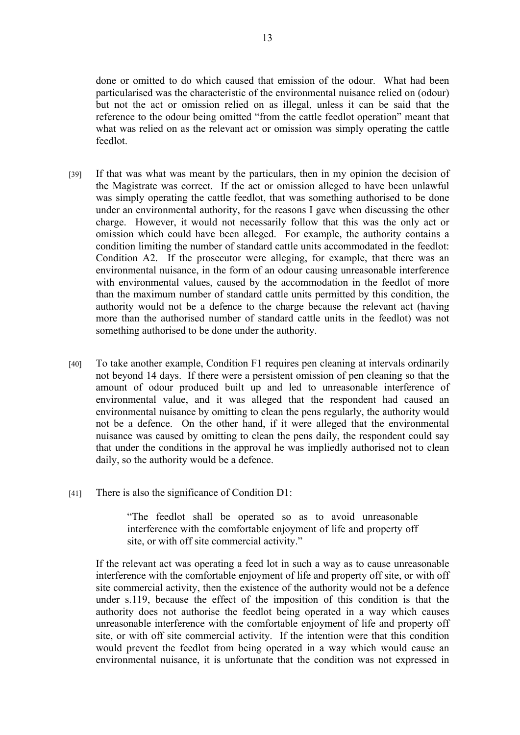done or omitted to do which caused that emission of the odour. What had been particularised was the characteristic of the environmental nuisance relied on (odour) but not the act or omission relied on as illegal, unless it can be said that the reference to the odour being omitted "from the cattle feedlot operation" meant that what was relied on as the relevant act or omission was simply operating the cattle feedlot.

- [39] If that was what was meant by the particulars, then in my opinion the decision of the Magistrate was correct. If the act or omission alleged to have been unlawful was simply operating the cattle feedlot, that was something authorised to be done under an environmental authority, for the reasons I gave when discussing the other charge. However, it would not necessarily follow that this was the only act or omission which could have been alleged. For example, the authority contains a condition limiting the number of standard cattle units accommodated in the feedlot: Condition A2. If the prosecutor were alleging, for example, that there was an environmental nuisance, in the form of an odour causing unreasonable interference with environmental values, caused by the accommodation in the feedlot of more than the maximum number of standard cattle units permitted by this condition, the authority would not be a defence to the charge because the relevant act (having more than the authorised number of standard cattle units in the feedlot) was not something authorised to be done under the authority.
- [40] To take another example, Condition F1 requires pen cleaning at intervals ordinarily not beyond 14 days. If there were a persistent omission of pen cleaning so that the amount of odour produced built up and led to unreasonable interference of environmental value, and it was alleged that the respondent had caused an environmental nuisance by omitting to clean the pens regularly, the authority would not be a defence. On the other hand, if it were alleged that the environmental nuisance was caused by omitting to clean the pens daily, the respondent could say that under the conditions in the approval he was impliedly authorised not to clean daily, so the authority would be a defence.
- [41] There is also the significance of Condition D1:

"The feedlot shall be operated so as to avoid unreasonable interference with the comfortable enjoyment of life and property off site, or with off site commercial activity."

If the relevant act was operating a feed lot in such a way as to cause unreasonable interference with the comfortable enjoyment of life and property off site, or with off site commercial activity, then the existence of the authority would not be a defence under s.119, because the effect of the imposition of this condition is that the authority does not authorise the feedlot being operated in a way which causes unreasonable interference with the comfortable enjoyment of life and property off site, or with off site commercial activity. If the intention were that this condition would prevent the feedlot from being operated in a way which would cause an environmental nuisance, it is unfortunate that the condition was not expressed in